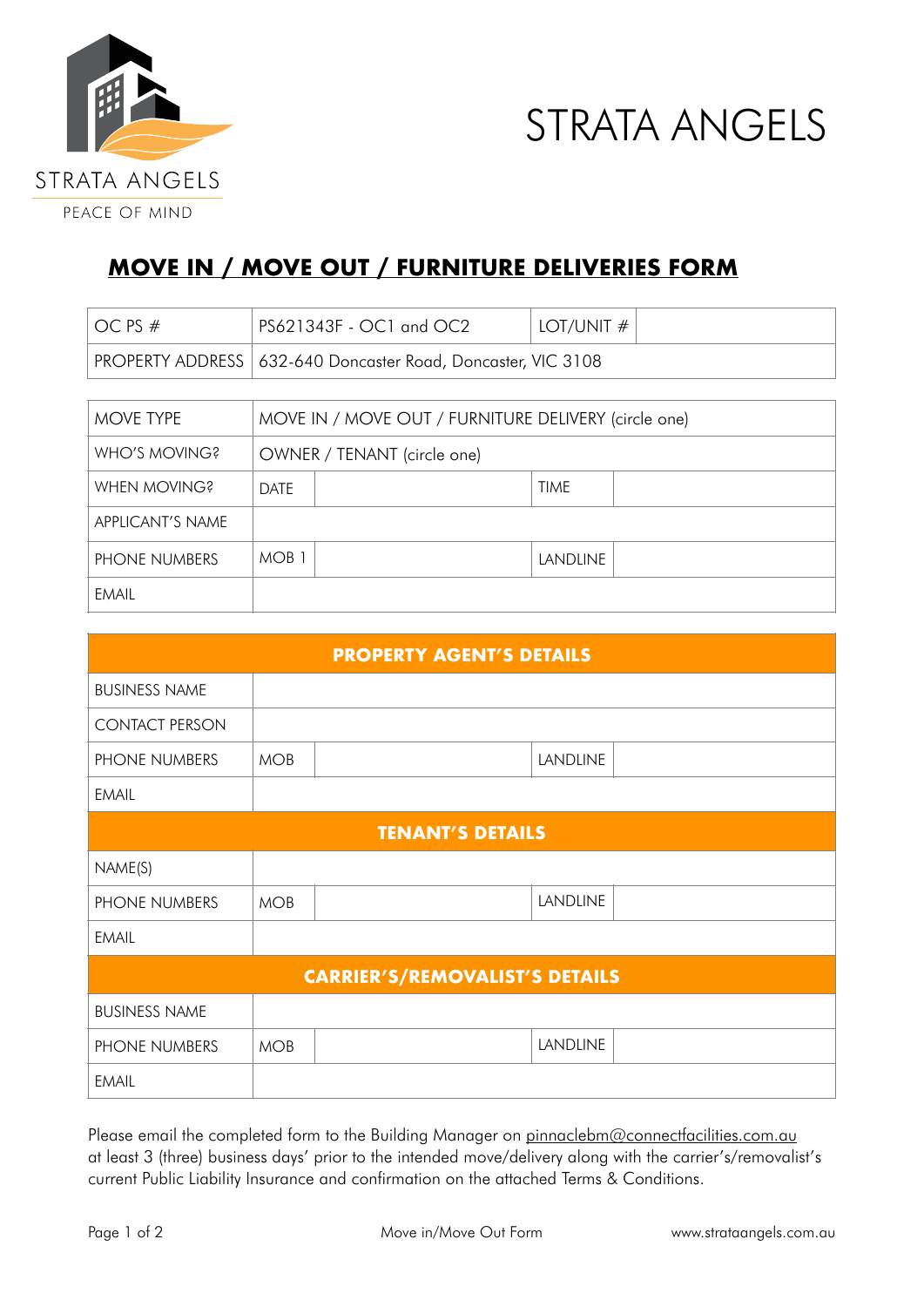



## **MOVE IN / MOVE OUT / FURNITURE DELIVERIES FORM**

| OC PS #          | PS621343F - OC1 and OC2                              | LOT/UNIT $#$ |  |  |
|------------------|------------------------------------------------------|--------------|--|--|
| PROPERTY ADDRESS | 632-640 Doncaster Road, Doncaster, VIC 3108          |              |  |  |
|                  |                                                      |              |  |  |
| MOVE TYPE        | MOVE IN / MOVE OUT / FURNITURE DELIVERY (circle one) |              |  |  |
| WHO'S MOVING?    | OWNER / TENANT (circle one)                          |              |  |  |
| WHEN MOVING?     | <b>DATE</b>                                          | <b>TIME</b>  |  |  |
| APPLICANT'S NAME |                                                      |              |  |  |
| PHONE NUMBERS    | MOB <sub>1</sub>                                     | LANDLINE     |  |  |
| <b>EMAIL</b>     |                                                      |              |  |  |

| <b>PROPERTY AGENT'S DETAILS</b>       |            |                 |  |  |  |
|---------------------------------------|------------|-----------------|--|--|--|
| <b>BUSINESS NAME</b>                  |            |                 |  |  |  |
| <b>CONTACT PERSON</b>                 |            |                 |  |  |  |
| PHONE NUMBERS                         | <b>MOB</b> | <b>LANDLINE</b> |  |  |  |
| <b>EMAIL</b>                          |            |                 |  |  |  |
| <b>TENANT'S DETAILS</b>               |            |                 |  |  |  |
| NAME(S)                               |            |                 |  |  |  |
| PHONE NUMBERS                         | <b>MOB</b> | <b>LANDLINE</b> |  |  |  |
| EMAIL                                 |            |                 |  |  |  |
| <b>CARRIER'S/REMOVALIST'S DETAILS</b> |            |                 |  |  |  |
| <b>BUSINESS NAME</b>                  |            |                 |  |  |  |
| PHONE NUMBERS                         | <b>MOB</b> | <b>LANDLINE</b> |  |  |  |
| <b>EMAIL</b>                          |            |                 |  |  |  |

Please email the completed form to the Building Manager on [pinnaclebm@connectfacilities.com.au](mailto:pinnaclebm@connectfacilities.com.au) at least 3 (three) business days' prior to the intended move/delivery along with the carrier's/removalist's current Public Liability Insurance and confirmation on the attached Terms & Conditions.